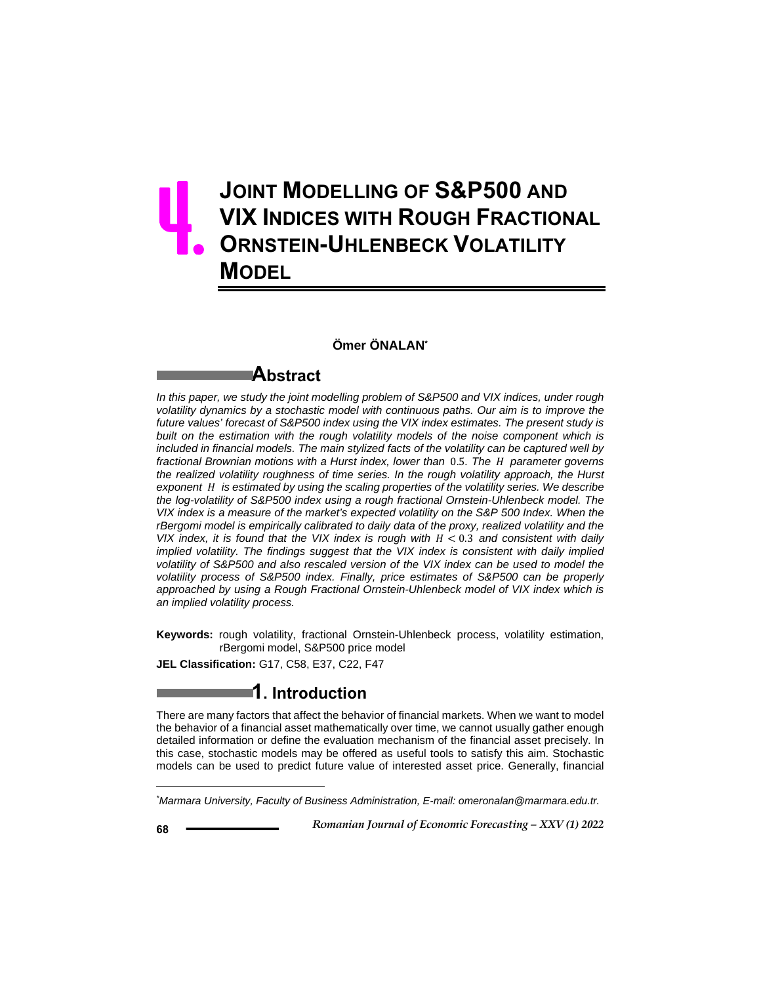# **JOINT MODELLING OF S&P500 AND VIX INDICES WITH ROUGH FRACTIONAL ORNSTEIN-UHLENBECK VOLATILITY MODEL** 4.

### **Ömer ÖNALAN\***

### **Abstract**

*In this paper, we study the joint modelling problem of S&P500 and VIX indices, under rough volatility dynamics by a stochastic model with continuous paths. Our aim is to improve the future values' forecast of S&P500 index using the VIX index estimates. The present study is built on the estimation with the rough volatility models of the noise component which is included in financial models. The main stylized facts of the volatility can be captured well by*  fractional Brownian motions with a Hurst index, lower than 0.5. The *H* parameter governs *the realized volatility roughness of time series. In the rough volatility approach, the Hurst exponent* ܪ *is estimated by using the scaling properties of the volatility series. We describe the log-volatility of S&P500 index using a rough fractional Ornstein-Uhlenbeck model. The VIX index is a measure of the market's expected volatility on the S&P 500 Index. When the rBergomi model is empirically calibrated to daily data of the proxy, realized volatility and the VIX index, it is found that the VIX index is rough with H < 0.3 and consistent with daily implied volatility. The findings suggest that the VIX index is consistent with daily implied volatility of S&P500 and also rescaled version of the VIX index can be used to model the volatility process of S&P500 index. Finally, price estimates of S&P500 can be properly approached by using a Rough Fractional Ornstein-Uhlenbeck model of VIX index which is an implied volatility process.* 

**Keywords:** rough volatility, fractional Ornstein-Uhlenbeck process, volatility estimation, rBergomi model, S&P500 price model

**JEL Classification:** G17, C58, E37, C22, F47

### **1. Introduction**

There are many factors that affect the behavior of financial markets. When we want to model the behavior of a financial asset mathematically over time, we cannot usually gather enough detailed information or define the evaluation mechanism of the financial asset precisely. In this case, stochastic models may be offered as useful tools to satisfy this aim. Stochastic models can be used to predict future value of interested asset price. Generally, financial

 *Romanian Journal of Economic Forecasting – XXV (1) 2022* **<sup>68</sup>**

 $\overline{a}$ 

*<sup>\*</sup> Marmara University, Faculty of Business Administration, E-mail: omeronalan@marmara.edu.tr.*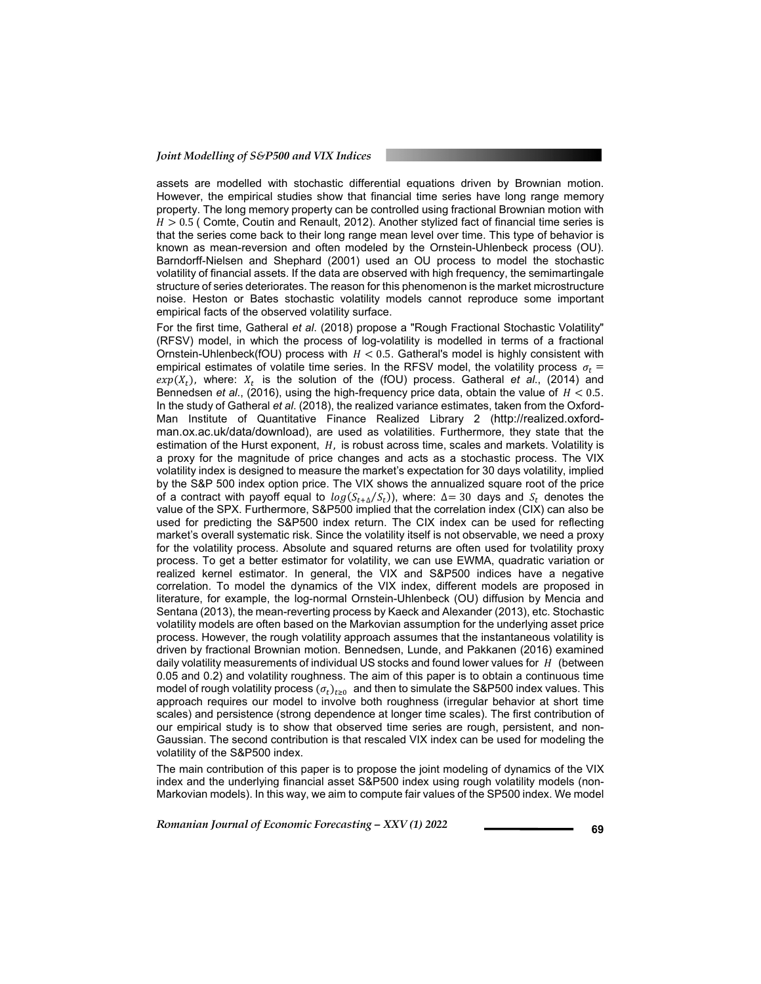#### *Joint Modelling of S&P500 and VIX Indices*

assets are modelled with stochastic differential equations driven by Brownian motion. However, the empirical studies show that financial time series have long range memory property. The long memory property can be controlled using fractional Brownian motion with  $H > 0.5$  (Comte, Coutin and Renault, 2012). Another stylized fact of financial time series is that the series come back to their long range mean level over time. This type of behavior is known as mean-reversion and often modeled by the Ornstein-Uhlenbeck process (OU). Barndorff-Nielsen and Shephard (2001) used an OU process to model the stochastic volatility of financial assets. If the data are observed with high frequency, the semimartingale structure of series deteriorates. The reason for this phenomenon is the market microstructure noise. Heston or Bates stochastic volatility models cannot reproduce some important empirical facts of the observed volatility surface.

For the first time, Gatheral *et al*. (2018) propose a "Rough Fractional Stochastic Volatility" (RFSV) model, in which the process of log-volatility is modelled in terms of a fractional Ornstein-Uhlenbeck(fOU) process with  $H < 0.5$ . Gatheral's model is highly consistent with empirical estimates of volatile time series. In the RFSV model, the volatility process  $\sigma_t$  =  $exp(X_t)$ , where:  $X_t$  is the solution of the (fOU) process. Gatheral *et al.*, (2014) and Bennedsen *et al.*, (2016), using the high-frequency price data, obtain the value of  $H < 0.5$ . In the study of Gatheral *et al*. (2018), the realized variance estimates, taken from the Oxford-Man Institute of Quantitative Finance Realized Library 2 (http://realized.oxfordman.ox.ac.uk/data/download), are used as volatilities. Furthermore, they state that the estimation of the Hurst exponent,  $H$ , is robust across time, scales and markets. Volatility is a proxy for the magnitude of price changes and acts as a stochastic process. The VIX volatility index is designed to measure the market's expectation for 30 days volatility, implied by the S&P 500 index option price. The VIX shows the annualized square root of the price of a contract with payoff equal to  $log(S_{t+\Delta}/S_t)$ , where:  $\Delta = 30$  days and  $S_t$  denotes the value of the SPX. Furthermore, S&P500 implied that the correlation index (CIX) can also be used for predicting the S&P500 index return. The CIX index can be used for reflecting market's overall systematic risk. Since the volatility itself is not observable, we need a proxy for the volatility process. Absolute and squared returns are often used for tvolatility proxy process. To get a better estimator for volatility, we can use EWMA, quadratic variation or realized kernel estimator. In general, the VIX and S&P500 indices have a negative correlation. To model the dynamics of the VIX index, different models are proposed in literature, for example, the log-normal Ornstein-Uhlenbeck (OU) diffusion by Mencia and Sentana (2013), the mean-reverting process by Kaeck and Alexander (2013), etc. Stochastic volatility models are often based on the Markovian assumption for the underlying asset price process. However, the rough volatility approach assumes that the instantaneous volatility is driven by fractional Brownian motion. Bennedsen, Lunde, and Pakkanen (2016) examined daily volatility measurements of individual US stocks and found lower values for  $H$  (between 0.05 and 0.2) and volatility roughness. The aim of this paper is to obtain a continuous time model of rough volatility process  $(\sigma_t)_{t\geq0}$  and then to simulate the S&P500 index values. This approach requires our model to involve both roughness (irregular behavior at short time scales) and persistence (strong dependence at longer time scales). The first contribution of our empirical study is to show that observed time series are rough, persistent, and non-Gaussian. The second contribution is that rescaled VIX index can be used for modeling the volatility of the S&P500 index.

The main contribution of this paper is to propose the joint modeling of dynamics of the VIX index and the underlying financial asset S&P500 index using rough volatility models (non-Markovian models). In this way, we aim to compute fair values of the SP500 index. We model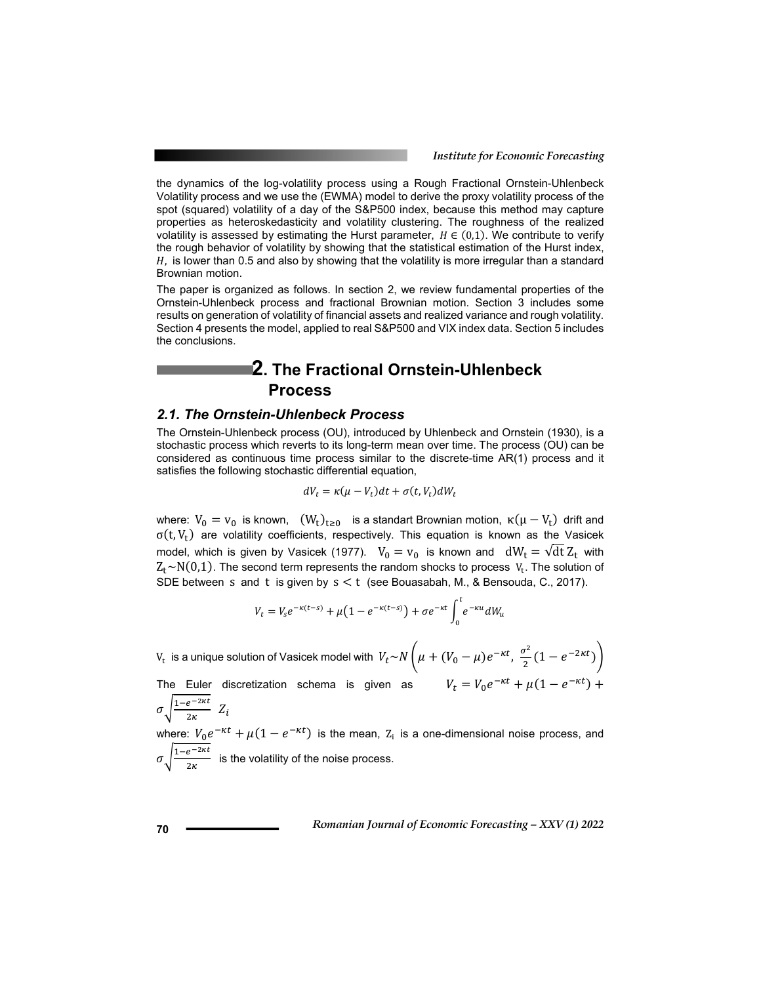the dynamics of the log-volatility process using a Rough Fractional Ornstein-Uhlenbeck Volatility process and we use the (EWMA) model to derive the proxy volatility process of the spot (squared) volatility of a day of the S&P500 index, because this method may capture properties as heteroskedasticity and volatility clustering. The roughness of the realized volatility is assessed by estimating the Hurst parameter,  $H \in (0,1)$ . We contribute to verify the rough behavior of volatility by showing that the statistical estimation of the Hurst index,  $H$ , is lower than 0.5 and also by showing that the volatility is more irregular than a standard Brownian motion.

The paper is organized as follows. In section 2, we review fundamental properties of the Ornstein-Uhlenbeck process and fractional Brownian motion. Section 3 includes some results on generation of volatility of financial assets and realized variance and rough volatility. Section 4 presents the model, applied to real S&P500 and VIX index data. Section 5 includes the conclusions.

# **2. The Fractional Ornstein-Uhlenbeck Process**

#### *2.1. The Ornstein-Uhlenbeck Process*

The Ornstein-Uhlenbeck process (OU), introduced by Uhlenbeck and Ornstein (1930), is a stochastic process which reverts to its long-term mean over time. The process (OU) can be considered as continuous time process similar to the discrete-time AR(1) process and it satisfies the following stochastic differential equation,

$$
dV_t = \kappa(\mu - V_t)dt + \sigma(t, V_t)dW_t
$$

where:  $V_0 = v_0$  is known,  $(W_t)_{t\geq 0}$  is a standart Brownian motion,  $\kappa(\mu - V_t)$  drift and  $\sigma(t, V_t)$  are volatility coefficients, respectively. This equation is known as the Vasicek model, which is given by Vasicek (1977).  $V_0 = v_0$  is known and  $dW_t = \sqrt{dt} Z_t$  with  $Z_t \sim N(0,1)$ . The second term represents the random shocks to process  $V_t$ . The solution of SDE between s and t is given by  $s < t$  (see Bouasabah, M., & Bensouda, C., 2017).

$$
V_t = V_s e^{-\kappa(t-s)} + \mu(1 - e^{-\kappa(t-s)}) + \sigma e^{-\kappa t} \int_0^t e^{-\kappa u} dW_u
$$

 $V_{\rm t}$  is a unique solution of Vasicek model with  $\; V_t\! \sim \!N\!\left(\mu+(V_0-\mu)e^{-\kappa t},\, \frac{\sigma^2}{2}(1-e^{-2\kappa t})\right)$ The Euler discretization schema is given as  $V_t = V_0 e^{-\kappa t} + \mu(1 - e^{-\kappa t}) +$ 

 $\sigma \sqrt{\frac{1-e^{-2\kappa t}}{2\kappa}} Z_i$ where:  $V_0 e^{-\kappa t} + \mu (1 - e^{-\kappa t})$  is the mean,  $Z_i$  is a one-dimensional noise process, and  $\sigma \sqrt{\frac{1-e^{-2\kappa t}}{2\kappa}}$  is the volatility of the noise process.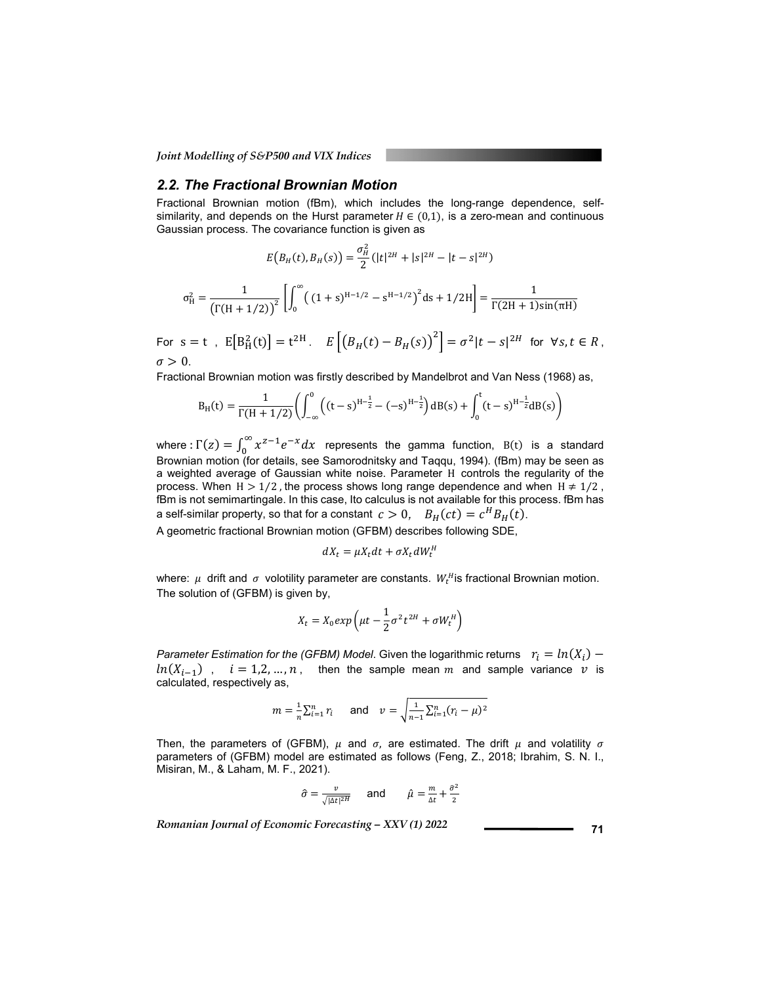*Joint Modelling of S&P500 and VIX Indices* 

#### *2.2. The Fractional Brownian Motion*

Fractional Brownian motion (fBm), which includes the long-range dependence, selfsimilarity, and depends on the Hurst parameter  $H \in (0,1)$ , is a zero-mean and continuous Gaussian process. The covariance function is given as

$$
E(B_H(t), B_H(s)) = \frac{\sigma_H^2}{2} (|t|^{2H} + |s|^{2H} - |t - s|^{2H})
$$

$$
\sigma_H^2 = \frac{1}{\left(\Gamma(H + 1/2)\right)^2} \left[ \int_0^\infty \left( (1 + s)^{H - 1/2} - s^{H - 1/2} \right)^2 ds + 1/2H \right] = \frac{1}{\Gamma(2H + 1)\sin(\pi H)}
$$

For  $s = t$  ,  $E[B_H^2(t)] = t^{2H}$ .  $E\left[\left(B_H(t) - B_H(s)\right)^2\right] = \sigma^2 |t - s|^{2H}$  for  $\forall s, t \in R$ ,  $\sigma > 0$ .

Fractional Brownian motion was firstly described by Mandelbrot and Van Ness (1968) as,

$$
B_H(t) = \frac{1}{\Gamma(H + 1/2)} \left( \int_{-\infty}^0 \left( (t - s)^{H - \frac{1}{2}} - (-s)^{H - \frac{1}{2}} \right) dB(s) + \int_0^t (t - s)^{H - \frac{1}{2}} dB(s) \right)
$$

where :  $\Gamma(z) = \int_0^\infty x^{z-1} e^{-x} dx$  represents the gamma function, B(t) is a standard Brownian motion (for details, see Samorodnitsky and Taqqu, 1994). (fBm) may be seen as a weighted average of Gaussian white noise. Parameter H controls the regularity of the process. When  $H > 1/2$ , the process shows long range dependence and when  $H \neq 1/2$ , fBm is not semimartingale. In this case, Ito calculus is not available for this process. fBm has a self-similar property, so that for a constant  $c > 0$ ,  $B_H(ct) = c^H B_H(t)$ .

A geometric fractional Brownian motion (GFBM) describes following SDE,

$$
dX_t = \mu X_t dt + \sigma X_t dW_t^H
$$

where:  $\mu$  drift and  $\sigma$  volotility parameter are constants.  $W_t^H$  is fractional Brownian motion. The solution of (GFBM) is given by,

$$
X_t = X_0 \exp\left(\mu t - \frac{1}{2}\sigma^2 t^{2H} + \sigma W_t^H\right)
$$

*Parameter Estimation for the (GFBM) Model*. Given the logarithmic returns  $r_i = ln(X_i)$  $ln(X_{i-1})$ ,  $i = 1,2,...,n$ , then the sample mean m and sample variance v is calculated, respectively as,

$$
m = \frac{1}{n} \sum_{i=1}^{n} r_i
$$
 and  $v = \sqrt{\frac{1}{n-1} \sum_{i=1}^{n} (r_i - \mu)^2}$ 

Then, the parameters of (GFBM),  $\mu$  and  $\sigma$ , are estimated. The drift  $\mu$  and volatility  $\sigma$ parameters of (GFBM) model are estimated as follows (Feng, Z., 2018; Ibrahim, S. N. I., Misiran, M., & Laham, M. F., 2021).

$$
\hat{\sigma} = \frac{v}{\sqrt{|\Delta t|^{2H}}} \quad \text{and} \quad \hat{\mu} = \frac{m}{\Delta t} + \frac{\hat{\sigma}^2}{2}
$$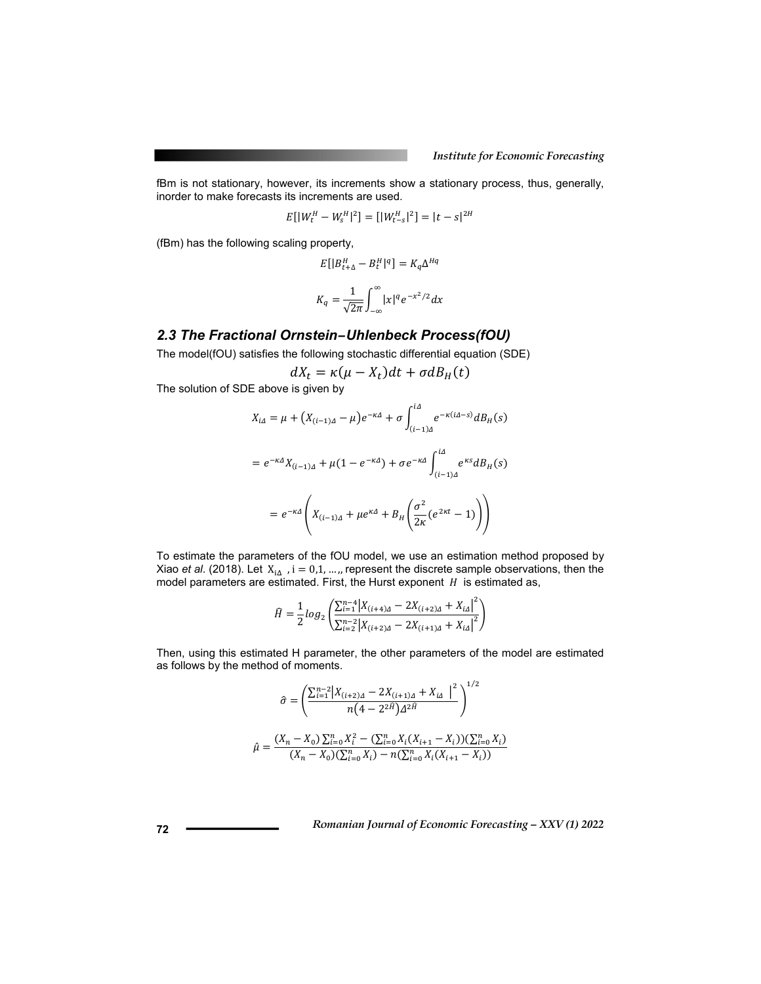fBm is not stationary, however, its increments show a stationary process, thus, generally, inorder to make forecasts its increments are used.

$$
E[|W_t^H - W_s^H|^2] = [|W_{t-s}^H|^2] = |t - s|^{2H}
$$

(fBm) has the following scaling property,

$$
E[|B_{t+\Delta}^H - B_t^H|^q] = K_q \Delta^{Hq}
$$

$$
K_q = \frac{1}{\sqrt{2\pi}} \int_{-\infty}^{\infty} |x|^q e^{-x^2/2} dx
$$

#### *2.3 The Fractional Ornstein–Uhlenbeck Process(fOU)*

The model(fOU) satisfies the following stochastic differential equation (SDE)

$$
dX_t = \kappa(\mu - X_t)dt + \sigma dB_H(t)
$$

The solution of SDE above is given by

$$
X_{i\Delta} = \mu + (X_{(i-1)\Delta} - \mu)e^{-\kappa\Delta} + \sigma \int_{(i-1)\Delta}^{i\Delta} e^{-\kappa(i\Delta - s)} dB_H(s)
$$
  
=  $e^{-\kappa\Delta} X_{(i-1)\Delta} + \mu(1 - e^{-\kappa\Delta}) + \sigma e^{-\kappa\Delta} \int_{(i-1)\Delta}^{i\Delta} e^{\kappa s} dB_H(s)$   
=  $e^{-\kappa\Delta} \left( X_{(i-1)\Delta} + \mu e^{\kappa\Delta} + B_H \left( \frac{\sigma^2}{2\kappa} (e^{2\kappa t} - 1) \right) \right)$ 

To estimate the parameters of the fOU model, we use an estimation method proposed by Xiao *et al.* (2018). Let  $X_{iA}$ ,  $i = 0,1, ...,$  represent the discrete sample observations, then the model parameters are estimated. First, the Hurst exponent  $H$  is estimated as,

$$
\hat{H} = \frac{1}{2} log_2 \left( \frac{\sum_{i=1}^{n-4} |X_{(i+4)\Delta} - 2X_{(i+2)\Delta} + X_{i\Delta}|^2}{\sum_{i=2}^{n-2} |X_{(i+2)\Delta} - 2X_{(i+1)\Delta} + X_{i\Delta}|^2} \right)
$$

Then, using this estimated H parameter, the other parameters of the model are estimated as follows by the method of moments.

$$
\hat{\sigma} = \left(\frac{\sum_{i=1}^{n-2} \left| X_{(i+2)\Delta} - 2X_{(i+1)\Delta} + X_{i\Delta} \right|^2}{n(4 - 2^{2\hat{H}}) \Delta^{2\hat{H}}} \right)^{1/2}
$$

$$
\hat{\mu} = \frac{(X_n - X_0) \sum_{i=0}^n X_i^2 - (\sum_{i=0}^n X_i (X_{i+1} - X_i)) (\sum_{i=0}^n X_i)}{(X_n - X_0) (\sum_{i=0}^n X_i) - n(\sum_{i=0}^n X_i (X_{i+1} - X_i))}
$$

$$
\bf 72
$$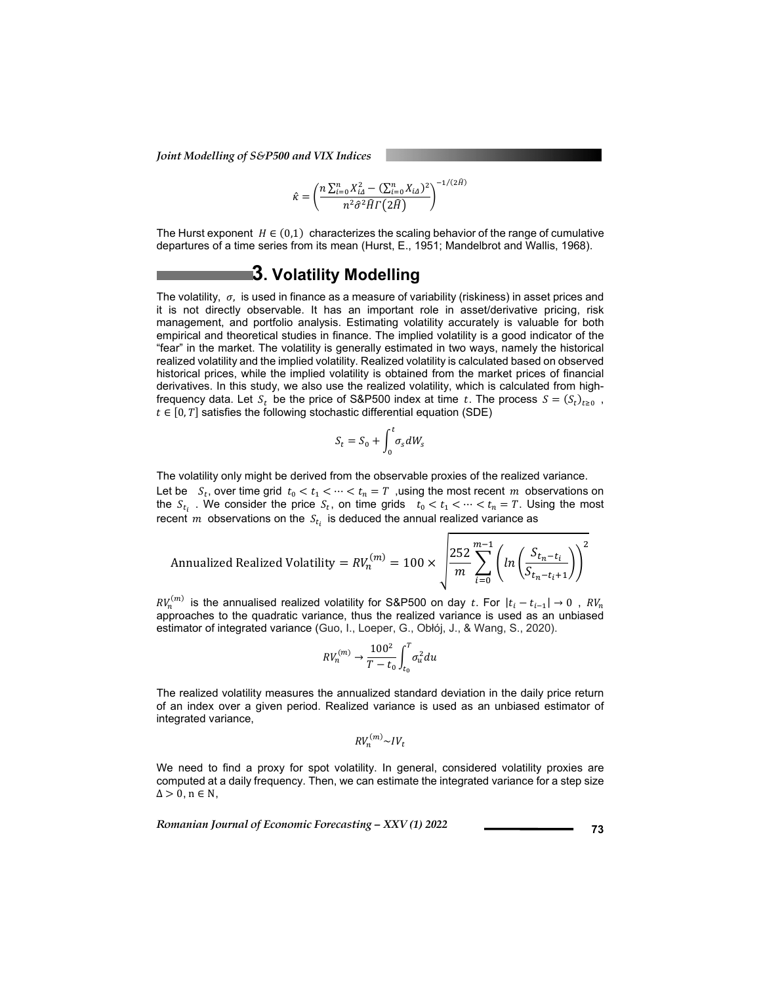*Joint Modelling of S&P500 and VIX Indices* 

$$
\hat{\kappa} = \left(\frac{n\sum_{i=0}^{n} X_{i\Delta}^{2} - (\sum_{i=0}^{n} X_{i\Delta})^{2}}{n^{2} \hat{\sigma}^{2} \hat{H} \Gamma(2\hat{H})}\right)^{-1/(2\hat{H})}
$$

The Hurst exponent  $H \in (0,1)$  characterizes the scaling behavior of the range of cumulative departures of a time series from its mean (Hurst, E., 1951; Mandelbrot and Wallis, 1968).

# **3. Volatility Modelling**

The volatility,  $\sigma$ , is used in finance as a measure of variability (riskiness) in asset prices and it is not directly observable. It has an important role in asset/derivative pricing, risk management, and portfolio analysis. Estimating volatility accurately is valuable for both empirical and theoretical studies in finance. The implied volatility is a good indicator of the "fear" in the market. The volatility is generally estimated in two ways, namely the historical realized volatility and the implied volatility. Realized volatility is calculated based on observed historical prices, while the implied volatility is obtained from the market prices of financial derivatives. In this study, we also use the realized volatility, which is calculated from highfrequency data. Let  $S_t$  be the price of S&P500 index at time t. The process  $S = (S_t)_{t>0}$ ,  $t \in [0, T]$  satisfies the following stochastic differential equation (SDE)

$$
S_t = S_0 + \int_0^t \sigma_s dW_s
$$

The volatility only might be derived from the observable proxies of the realized variance. Let be  $S_t$ , over time grid  $t_0 < t_1 < \cdots < t_n = T$ , using the most recent  $m$  observations on the  $S_{t_i}$ . We consider the price  $S_t$ , on time grids  $t_0 < t_1 < \cdots < t_n = T$ . Using the most recent  $m$  observations on the  $S_{t_i}$  is deduced the annual realized variance as

Annualized Realized Volatility =  $RV_n^{(m)} = 100 \times \left| \frac{252}{m} \sum_{i=0}^{m-1} \left( ln \left( \frac{S_{t_n-t_i}}{S_{t_n-t_i+1}} \right) \right) \right|$  $m-1$  (a)  $\lambda^2$  $i=0$ 

 $RV_n^{(m)}$  is the annualised realized volatility for S&P500 on day t. For  $|t_i-t_{i-1}| \to 0$  ,  $RV_n$ approaches to the quadratic variance, thus the realized variance is used as an unbiased estimator of integrated variance (Guo, I., Loeper, G., Obłój, J., & Wang, S., 2020).

$$
RV_n^{(m)} \to \frac{100^2}{T - t_0} \int_{t_0}^T \sigma_u^2 du
$$

The realized volatility measures the annualized standard deviation in the daily price return of an index over a given period. Realized variance is used as an unbiased estimator of integrated variance,

$$
RV_n^{(m)} \sim IV_t
$$

We need to find a proxy for spot volatility. In general, considered volatility proxies are computed at a daily frequency. Then, we can estimate the integrated variance for a step size  $\Delta > 0$ ,  $n \in N$ ,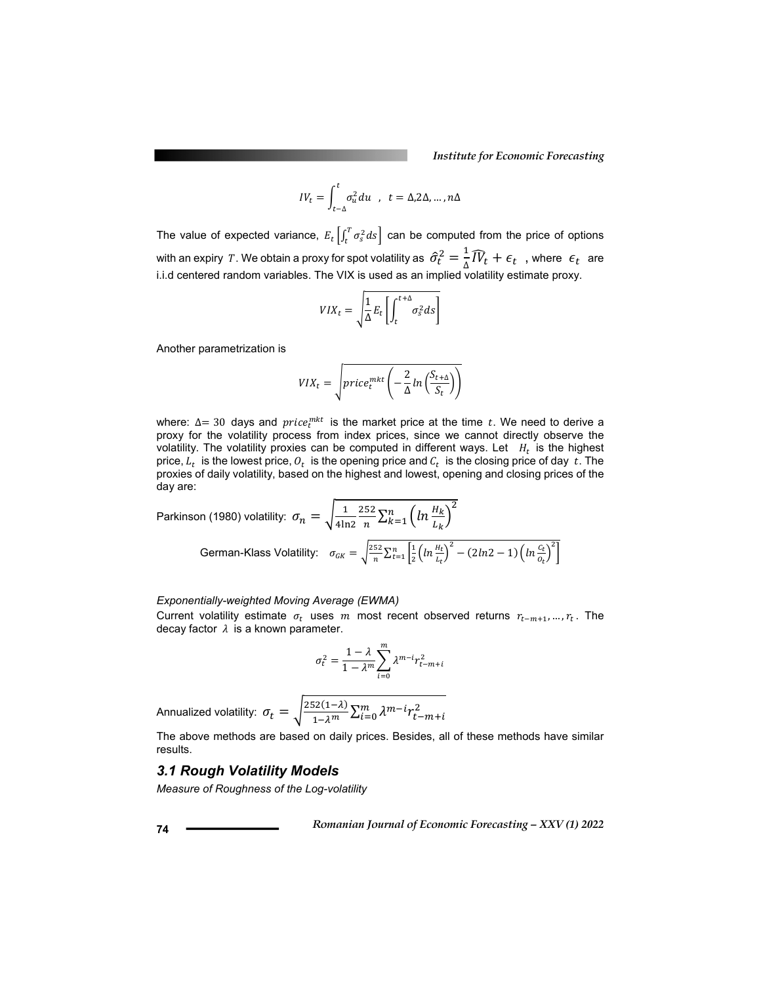*Institute for Economic Forecasting*

$$
IV_t = \int_{t-\Delta}^t \sigma_u^2 du \quad , \quad t = \Delta, 2\Delta, \dots, n\Delta
$$

The value of expected variance,  $E_t\left[\int_t^T \sigma_s^2 ds\right]$  can be computed from the price of options with an expiry  $\,T.$  We obtain a proxy for spot volatility as  $\,\widehat{\sigma}_t^2=\frac{1}{\Delta}\widehat{IV}_t+\epsilon_t\,$  , where  $\,\epsilon_t\,$  are i.i.d centered random variables. The VIX is used as an implied volatility estimate proxy.

$$
VIX_t = \sqrt{\frac{1}{\Delta}E_t \left[ \int_t^{t+\Delta} \sigma_s^2 ds \right]}
$$

Another parametrization is

$$
VIX_t = \sqrt{price_t^{mkt} \left( -\frac{2}{\Delta} ln\left(\frac{S_{t+\Delta}}{S_t}\right) \right)}
$$

where:  $\Delta$  = 30 days and  $price_t^{mkt}$  is the market price at the time t. We need to derive a proxy for the volatility process from index prices, since we cannot directly observe the volatility. The volatility proxies can be computed in different ways. Let  $H_t$  is the highest price,  $L_t$  is the lowest price,  $O_t$  is the opening price and  $C_t$  is the closing price of day t. The proxies of daily volatility, based on the highest and lowest, opening and closing prices of the day are:

Parkinson (1980) volatility: 
$$
\sigma_n = \sqrt{\frac{1}{4\ln 2} \frac{252}{n} \sum_{k=1}^n \left( \ln \frac{H_k}{L_k} \right)^2}
$$
 German-Klass Volatility: 
$$
\sigma_{GK} = \sqrt{\frac{252}{n} \sum_{t=1}^n \left[ \frac{1}{2} \left( \ln \frac{H_t}{L_t} \right)^2 - (2\ln 2 - 1) \left( \ln \frac{C_t}{C_t} \right)^2 \right]}
$$

#### *Exponentially-weighted Moving Average (EWMA)*

Current volatility estimate  $\sigma_t$  uses m most recent observed returns  $r_{t-m+1},...,r_t$ . The decay factor  $\lambda$  is a known parameter.

$$
\sigma_t^2 = \frac{1-\lambda}{1-\lambda^m}\sum_{i=0}^m \lambda^{m-i} r_{t-m+i}^2
$$

Annualized volatility:  $\sigma_t = \sqrt{\frac{252(1-\lambda)}{1-\lambda^m}}\Sigma^m_{t=0}\lambda^{m-i}r^2_{t-m+i}$ 

The above methods are based on daily prices. Besides, all of these methods have similar results.

#### *3.1 Rough Volatility Models*

*Measure of Roughness of the Log-volatility*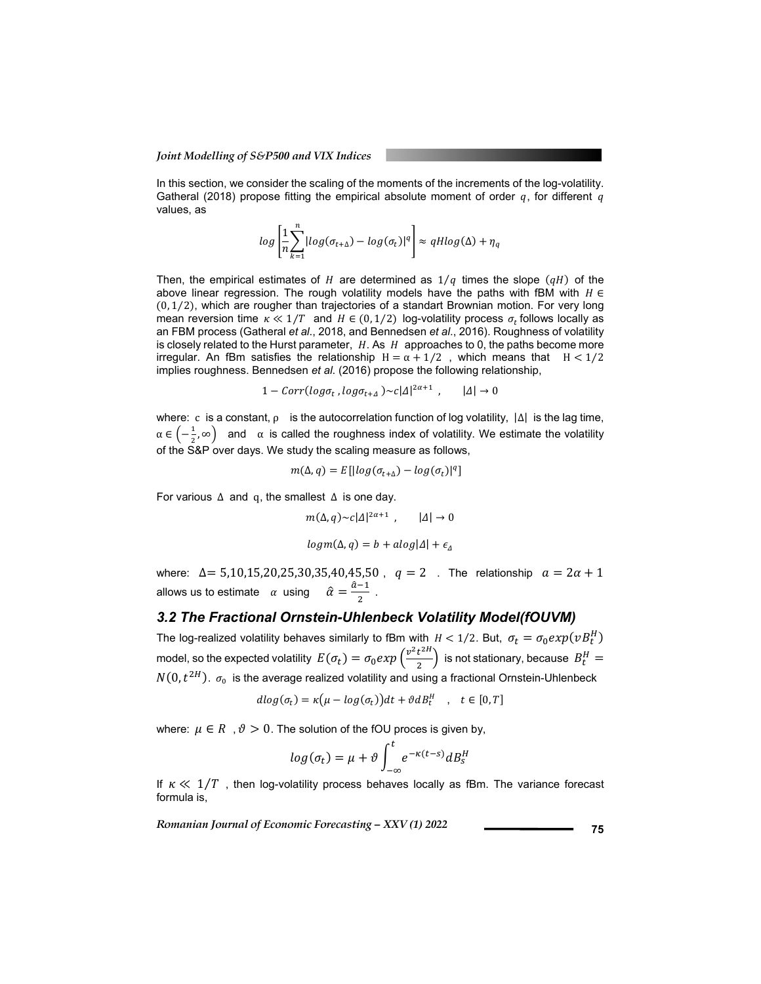In this section, we consider the scaling of the moments of the increments of the log-volatility. Gatheral (2018) propose fitting the empirical absolute moment of order  $q$ , for different  $q$ values, as

$$
log\left[\frac{1}{n}\sum_{k=1}^{n}|log(\sigma_{t+\Delta})-log(\sigma_{t})|^{q}\right] \approx qHlog(\Delta) + \eta_{q}
$$

Then, the empirical estimates of  $H$  are determined as  $1/q$  times the slope  $(qH)$  of the above linear regression. The rough volatility models have the paths with fBM with  $H \in$  $(0, 1/2)$ , which are rougher than trajectories of a standart Brownian motion. For very long mean reversion time  $\kappa \ll 1/T$  and  $H \in (0, 1/2)$  log-volatility process  $\sigma_t$  follows locally as an FBM process (Gatheral *et al*., 2018, and Bennedsen *et al*., 2016). Roughness of volatility is closely related to the Hurst parameter,  $H$ . As  $H$  approaches to 0, the paths become more irregular. An fBm satisfies the relationship  $H = \alpha + 1/2$ , which means that  $H < 1/2$ implies roughness. Bennedsen *et al*. (2016) propose the following relationship,

$$
1 - Corr(\log \sigma_t, \log \sigma_{t+1}) \sim c |\Delta|^{2\alpha+1} \ , \qquad |\Delta| \to 0
$$

where: c is a constant,  $\rho$  is the autocorrelation function of log volatility,  $|\Delta|$  is the lag time,  $\alpha \in \left(-\frac{1}{2}, \infty\right)$  and  $\alpha$  is called the roughness index of volatility. We estimate the volatility of the S&P over days. We study the scaling measure as follows,

$$
m(\Delta, q) = E[|log(\sigma_{t+\Delta}) - log(\sigma_t)|^q]
$$

For various ∆ and q, the smallest ∆ is one day.

$$
m(\Delta, q) \sim c|A|^{2\alpha+1}, \qquad |A| \to 0
$$
  

$$
logm(\Delta, q) = b + alog|A| + \epsilon_{\Delta}
$$

where:  $\Delta = 5,10,15,20,25,30,35,40,45,50$ ,  $q = 2$ . The relationship  $a = 2a + 1$ allows us to estimate  $\alpha$  using  $\hat{\alpha} = \frac{\hat{a}-1}{2}$ .

#### *3.2 The Fractional Ornstein-Uhlenbeck Volatility Model(fOUVM)*

The log-realized volatility behaves similarly to fBm with  $H < 1/2$ . But,  $\sigma_t = \sigma_0 exp(vB_t^H)$ model, so the expected volatility  $\ E(\sigma_t)=\sigma_0 exp\left(\frac{v^2t^{2H}}{2}\right)$  is not stationary, because  $\ B^H_t=$  $N(0, t^{2H})$ .  $\sigma_0$  is the average realized volatility and using a fractional Ornstein-Uhlenbeck

$$
dlog(\sigma_t) = \kappa \big( \mu - log(\sigma_t) \big) dt + \vartheta dB_t^H \quad , \quad t \in [0, T]
$$

where:  $\mu \in R$ ,  $\vartheta > 0$ . The solution of the fOU proces is given by,

$$
log(\sigma_t) = \mu + \vartheta \int_{-\infty}^t e^{-\kappa(t-s)} dB_s^H
$$

If  $\kappa \ll 1/T$ , then log-volatility process behaves locally as fBm. The variance forecast formula is,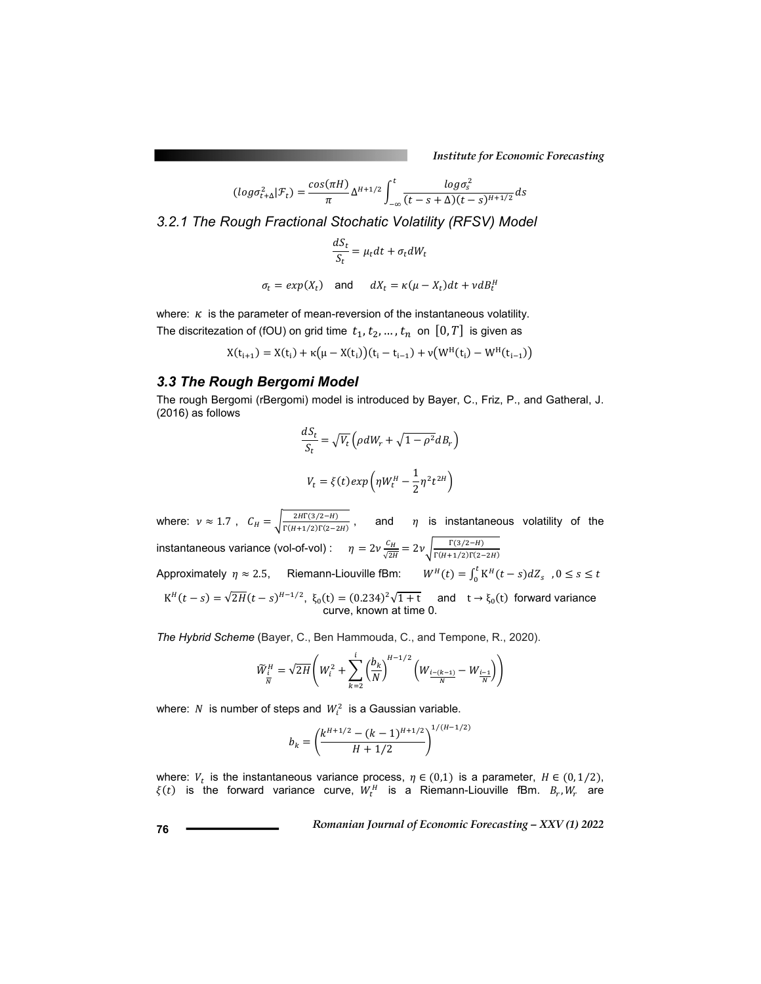*Institute for Economic Forecasting*

$$
(log \sigma_{t+\Delta}^2|\mathcal{F}_t) = \frac{cos(\pi H)}{\pi} \Delta^{H+1/2} \int_{-\infty}^t \frac{log \sigma_s^2}{(t-s+\Delta)(t-s)^{H+1/2}} ds
$$

*3.2.1 The Rough Fractional Stochatic Volatility (RFSV) Model* 

$$
\frac{dS_t}{S_t} = \mu_t dt + \sigma_t dW_t
$$

$$
\sigma_t = exp(X_t) \quad \text{and} \quad dX_t = \kappa(\mu - X_t)dt + \nu dB_t^H
$$

where:  $\kappa$  is the parameter of mean-reversion of the instantaneous volatility. The discritezation of (fOU) on grid time  $t_1, t_2, ..., t_n$  on  $[0, T]$  is given as

$$
X(t_{i+1}) = X(t_i) + \kappa (\mu - X(t_i))(t_i - t_{i-1}) + \nu (W^H(t_i) - W^H(t_{i-1}))
$$

### *3.3 The Rough Bergomi Model*

The rough Bergomi (rBergomi) model is introduced by Bayer, C., Friz, P., and Gatheral, J. (2016) as follows

$$
\frac{dS_t}{S_t} = \sqrt{V_t} \left( \rho dW_r + \sqrt{1 - \rho^2} dB_r \right)
$$

$$
V_t = \xi(t) exp \left( \eta W_t^H - \frac{1}{2} \eta^2 t^{2H} \right)
$$

where:  $v \approx 1.7$ ,  $C_H = \sqrt{\frac{2H\Gamma(3/2-H)}{\Gamma(H+1/2)\Gamma(2-2H)}}$ , and  $\eta$  is instantaneous volatility of the instantaneous variance (vol-of-vol) :  $\eta = 2\nu \frac{c_H}{\sqrt{2H}} = 2\nu \sqrt{\frac{\Gamma(3/2-H)}{\Gamma(H+1/2)\Gamma(2-2H)}}$ Approximately  $\eta \approx 2.5$ , Riemann-Liouville fBm:  $W^H(t) = \int_0^t K^H(t-s) dZ_s$ ,  $0 \le s \le t$  $K^H(t-s) = \sqrt{2H}(t-s)^{H-1/2}$ ,  $\xi_0(t) = (0.234)^2 \sqrt{1+t}$  and  $t \to \xi_0(t)$  forward variance curve, known at time 0.

*The Hybrid Scheme* (Bayer, C., Ben Hammouda, C., and Tempone, R., 2020).

$$
\widetilde{W}_{\frac{i}{N}}^{H} = \sqrt{2H} \left( W_i^2 + \sum_{k=2}^{i} \left( \frac{b_k}{N} \right)^{H-1/2} \left( W_{\frac{i-(k-1)}{N}} - W_{\frac{i-1}{N}} \right) \right)
$$

where: N is number of steps and  $W_i^2$  is a Gaussian variable.

$$
b_k = \left(\frac{k^{H+1/2} - (k-1)^{H+1/2}}{H+1/2}\right)^{1/(H-1/2)}
$$

where:  $V_t$  is the instantaneous variance process,  $\eta \in (0,1)$  is a parameter,  $H \in (0,1/2)$ ,  $\xi(t)$  is the forward variance curve,  $W_t^H$  is a Riemann-Liouville fBm.  $B_r$ ,  $W_r$  are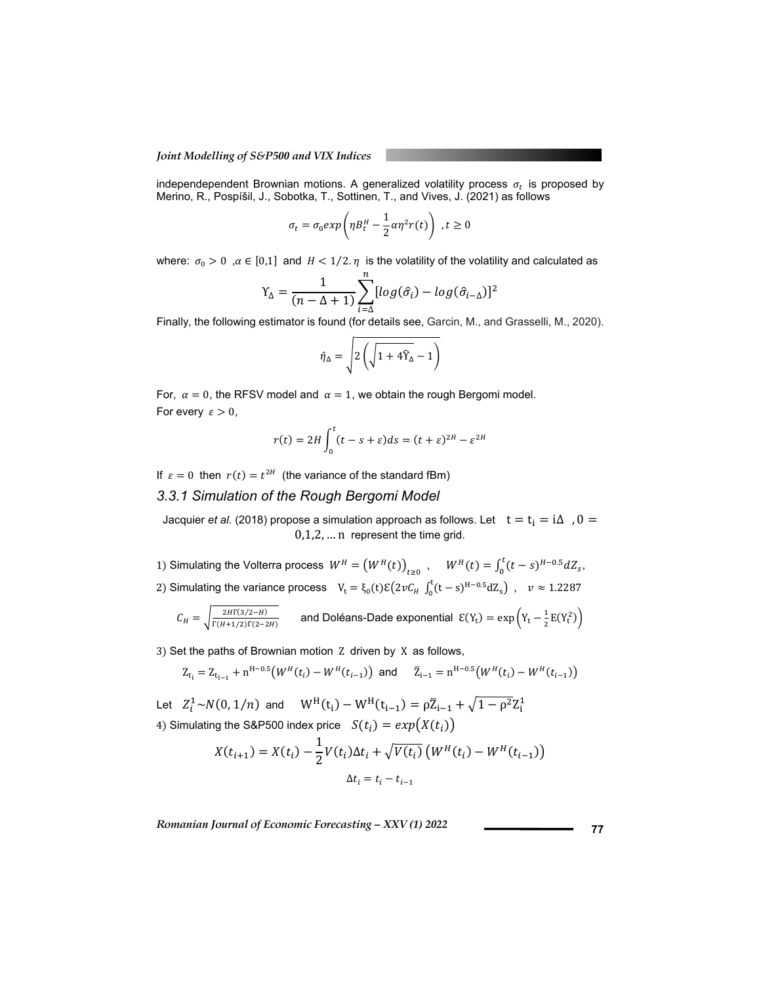independependent Brownian motions. A generalized volatility process  $\sigma_t$  is proposed by Merino, R., Pospíšil, J., Sobotka, T., Sottinen, T., and Vives, J. (2021) as follows

$$
\sigma_t = \sigma_0 exp\left(\eta B_t^H - \frac{1}{2}\alpha \eta^2 r(t)\right), t \ge 0
$$

where:  $\sigma_0 > 0$ ,  $\alpha \in [0,1]$  and  $H < 1/2$ .  $\eta$  is the volatility of the volatility and calculated as

$$
Y_{\Delta} = \frac{1}{(n - \Delta + 1)} \sum_{i = \Delta}^{n} [log(\hat{\sigma}_i) - log(\hat{\sigma}_{i - \Delta})]^2
$$

Finally, the following estimator is found (for details see, Garcin, M., and Grasselli, M., 2020).

$$
\hat{\eta}_{\Delta} = \sqrt{2\left(\sqrt{1+4\hat{Y}_{\Delta}}-1\right)}
$$

For,  $\alpha = 0$ , the RFSV model and  $\alpha = 1$ , we obtain the rough Bergomi model. For every  $\varepsilon > 0$ ,

$$
r(t) = 2H \int_0^t (t - s + \varepsilon) ds = (t + \varepsilon)^{2H} - \varepsilon^{2H}
$$

If  $\varepsilon = 0$  then  $r(t) = t^{2H}$  (the variance of the standard fBm)

### *3.3.1 Simulation of the Rough Bergomi Model*

Jacquier *et al.* (2018) propose a simulation approach as follows. Let  $t = t_i = i\Delta$ ,  $0 =$ 0,1,2, … n represent the time grid.

1) Simulating the Volterra process  $W^H = (W^H(t))_{t \geq 0}$ ,  $W^H(t) = \int_0^t (t-s)^{H-0.5} dZ_s$ , 2) Simulating the variance process  $V_t = \xi_0(t)\mathcal{E}(2\nu C_H \int_0^t (t-s)^{H-0.5} dZ_s)$ ,  $\nu \approx 1.2287$ 

$$
C_H = \sqrt{\frac{2H\Gamma(3/2-H)}{\Gamma(H+1/2)\Gamma(2-2H)}} \qquad \text{and Doléans-Dade exponential } \mathcal{E}(Y_t) = \exp\left(Y_t - \frac{1}{2}E(Y_t^2)\right)
$$

3) Set the paths of Brownian motion Z driven by X as follows,

$$
Z_{t_i} = Z_{t_{i-1}} + n^{H-0.5} \big( W^H(t_i) - W^H(t_{i-1}) \big) \text{ and } \bar{Z}_{i-1} = n^{H-0.5} \big( W^H(t_i) - W^H(t_{i-1}) \big)
$$

Let  $Z_i^1 \sim N(0, 1/n)$  and  $W^H(t_i) - W^H(t_{i-1}) = \rho \bar{Z}_{i-1} + \sqrt{1 - \rho^2} Z_i^1$ 4) Simulating the S&P500 index price  $S(t_i) = exp(X(t_i))$ 

$$
X(t_{i+1}) = X(t_i) - \frac{1}{2}V(t_i)\Delta t_i + \sqrt{V(t_i)}\left(W^H(t_i) - W^H(t_{i-1})\right)
$$

$$
\Delta t_i = t_i - t_{i-1}
$$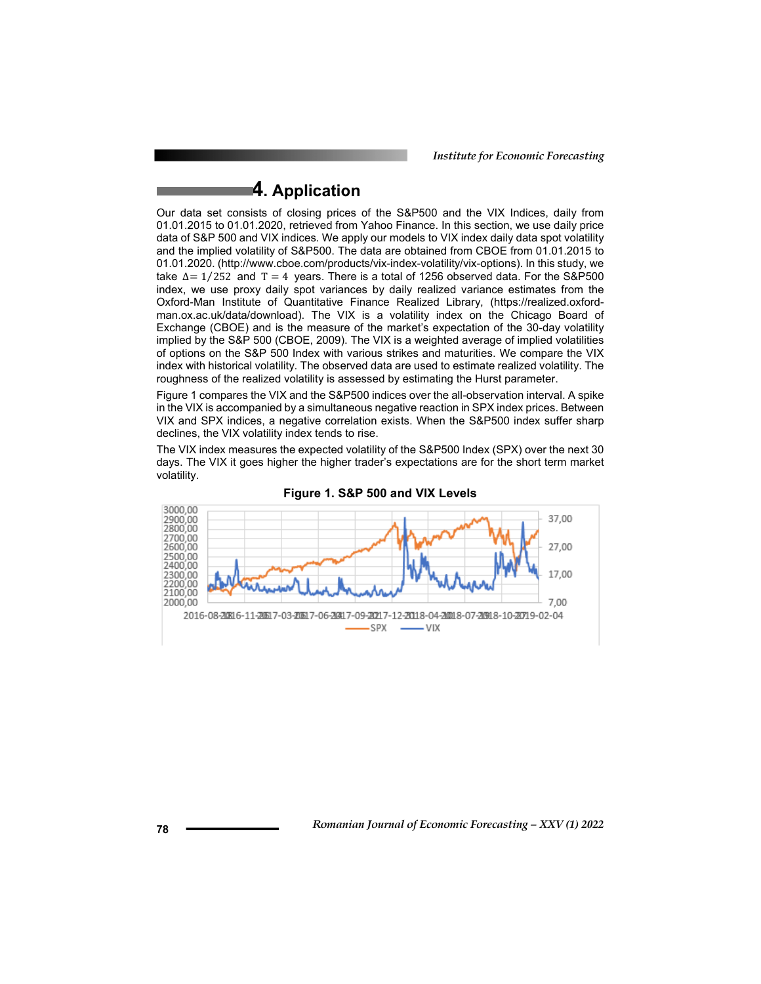*Institute for Economic Forecasting*

# **4. Application**

Our data set consists of closing prices of the S&P500 and the VIX Indices, daily from 01.01.2015 to 01.01.2020, retrieved from Yahoo Finance. In this section, we use daily price data of S&P 500 and VIX indices. We apply our models to VIX index daily data spot volatility and the implied volatility of S&P500. The data are obtained from CBOE from 01.01.2015 to 01.01.2020. (http://www.cboe.com/products/vix-index-volatility/vix-options). In this study, we take  $\Delta = 1/252$  and T = 4 years. There is a total of 1256 observed data. For the S&P500 index, we use proxy daily spot variances by daily realized variance estimates from the Oxford-Man Institute of Quantitative Finance Realized Library, (https://realized.oxfordman.ox.ac.uk/data/download). The VIX is a volatility index on the Chicago Board of Exchange (CBOE) and is the measure of the market's expectation of the 30-day volatility implied by the S&P 500 (CBOE, 2009). The VIX is a weighted average of implied volatilities of options on the S&P 500 Index with various strikes and maturities. We compare the VIX index with historical volatility. The observed data are used to estimate realized volatility. The roughness of the realized volatility is assessed by estimating the Hurst parameter.

Figure 1 compares the VIX and the S&P500 indices over the all-observation interval. A spike in the VIX is accompanied by a simultaneous negative reaction in SPX index prices. Between VIX and SPX indices, a negative correlation exists. When the S&P500 index suffer sharp declines, the VIX volatility index tends to rise.

The VIX index measures the expected volatility of the S&P500 Index (SPX) over the next 30 days. The VIX it goes higher the higher trader's expectations are for the short term market volatility.



**Figure 1. S&P 500 and VIX Levels**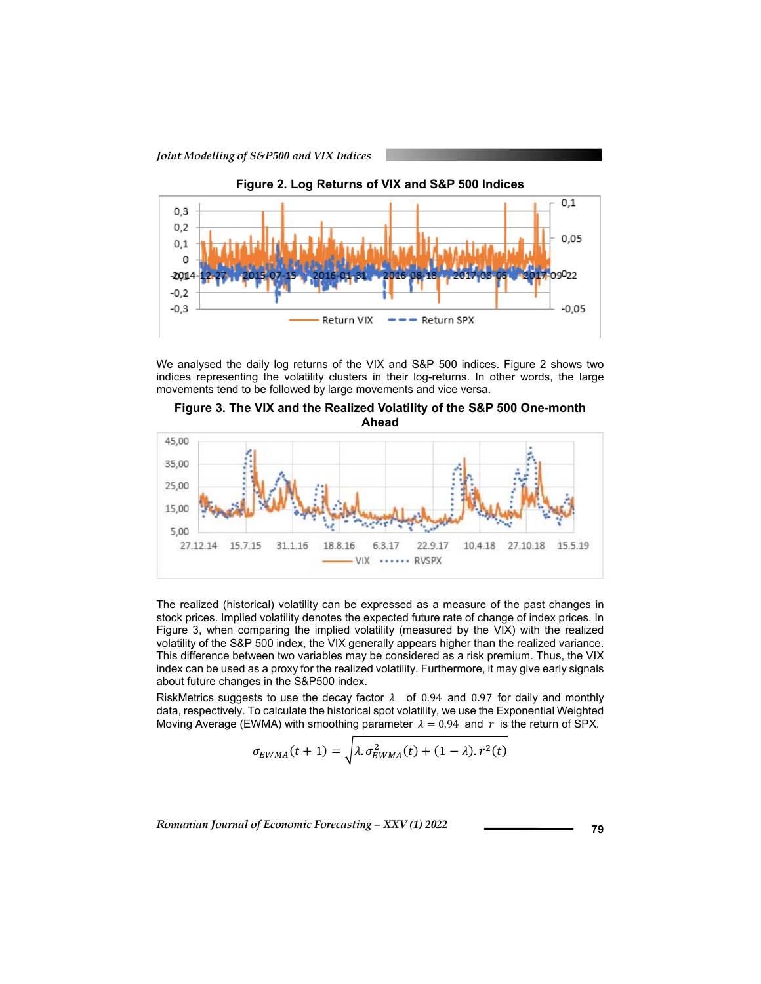

We analysed the daily log returns of the VIX and S&P 500 indices. Figure 2 shows two indices representing the volatility clusters in their log-returns. In other words, the large movements tend to be followed by large movements and vice versa.

**Figure 3. The VIX and the Realized Volatility of the S&P 500 One-month Ahead** 



The realized (historical) volatility can be expressed as a measure of the past changes in stock prices. Implied volatility denotes the expected future rate of change of index prices. In Figure 3, when comparing the implied volatility (measured by the VIX) with the realized volatility of the S&P 500 index, the VIX generally appears higher than the realized variance. This difference between two variables may be considered as a risk premium. Thus, the VIX index can be used as a proxy for the realized volatility. Furthermore, it may give early signals about future changes in the S&P500 index.

RiskMetrics suggests to use the decay factor  $\lambda$  of 0.94 and 0.97 for daily and monthly data, respectively. To calculate the historical spot volatility, we use the Exponential Weighted Moving Average (EWMA) with smoothing parameter  $\lambda = 0.94$  and r is the return of SPX.

$$
\sigma_{EWMA}(t+1) = \sqrt{\lambda \sigma_{EWMA}^2(t) + (1-\lambda) \cdot r^2(t)}
$$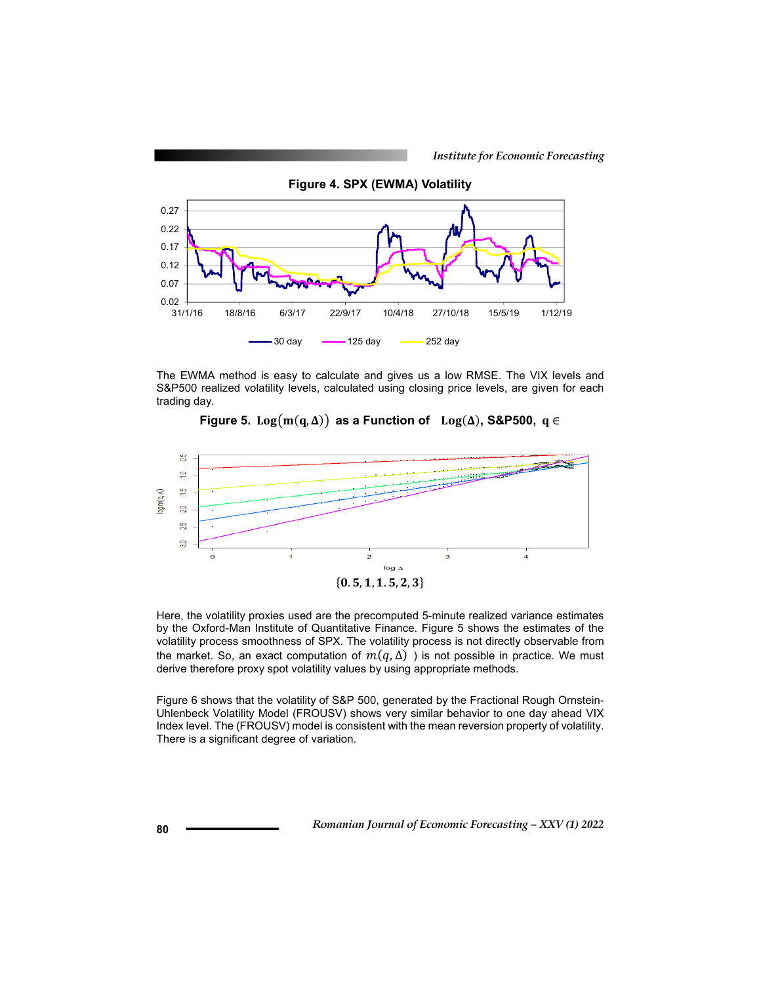

The EWMA method is easy to calculate and gives us a low RMSE. The VIX levels and S&P500 realized volatility levels, calculated using closing price levels, are given for each trading day.





Here, the volatility proxies used are the precomputed 5-minute realized variance estimates by the Oxford-Man Institute of Quantitative Finance. Figure 5 shows the estimates of the volatility process smoothness of SPX. The volatility process is not directly observable from the market. So, an exact computation of  $m(q, \Delta)$ ) is not possible in practice. We must derive therefore proxy spot volatility values by using appropriate methods.

Figure 6 shows that the volatility of S&P 500, generated by the Fractional Rough Ornstein-Uhlenbeck Volatility Model (FROUSV) shows very similar behavior to one day ahead VIX Index level. The (FROUSV) model is consistent with the mean reversion property of volatility. There is a significant degree of variation.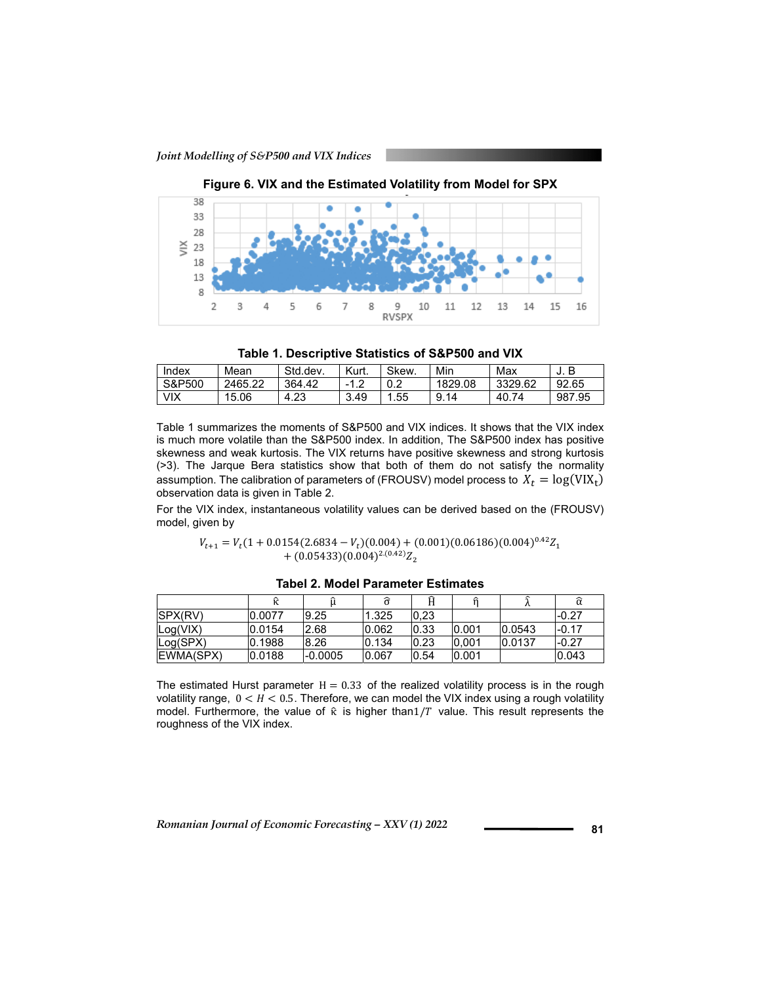

**Figure 6. VIX and the Estimated Volatility from Model for SPX** 



| Index      | Mean    | Std.dev | Kurt. | Skew. | Min     | Max       | В<br>J. |
|------------|---------|---------|-------|-------|---------|-----------|---------|
| S&P500     | 2465.22 | 364.42  | -1    | 0.2   | 1829.08 | 3329.62   | 92.65   |
| <b>VIX</b> | 15.06   | 4.23    | 3.49  | .55   | 9.14    | 74<br>40. | 987.95  |

Table 1 summarizes the moments of S&P500 and VIX indices. It shows that the VIX index is much more volatile than the S&P500 index. In addition, The S&P500 index has positive skewness and weak kurtosis. The VIX returns have positive skewness and strong kurtosis (>3). The Jarque Bera statistics show that both of them do not satisfy the normality assumption. The calibration of parameters of (FROUSV) model process to  $X_t = \log(VIX_t)$ observation data is given in Table 2.

For the VIX index, instantaneous volatility values can be derived based on the (FROUSV) model, given by

> $V_{t+1} = V_t (1 + 0.0154(2.6834 - V_t)(0.004) + (0.001)(0.06186)(0.004)^{0.42} Z_1$  $+(0.05433)(0.004)^{2.(0.42)}Z_2$

|                |        |           |       | Ĥ     |        |        |         |
|----------------|--------|-----------|-------|-------|--------|--------|---------|
| <b>SPX(RV)</b> | 0.0077 | 9.25      | 1.325 | 0,23  |        |        | -0.27   |
| Log(VIX)       | 0.0154 | 2.68      | 0.062 | 10.33 | 0.001  | 0.0543 | $-0.17$ |
| Log(SPX)       | 0.1988 | 8.26      | 0.134 | 0.23  | 10.001 | 0.0137 | $-0.27$ |
| EWMA(SPX)      | 0.0188 | $-0.0005$ | 0.067 | 0.54  | 0.001  |        | 0.043   |

**Tabel 2. Model Parameter Estimates** 

The estimated Hurst parameter  $H = 0.33$  of the realized volatility process is in the rough volatility range,  $0 < H < 0.5$ . Therefore, we can model the VIX index using a rough volatility model. Furthermore, the value of  $\hat{\kappa}$  is higher than1/T value. This result represents the roughness of the VIX index.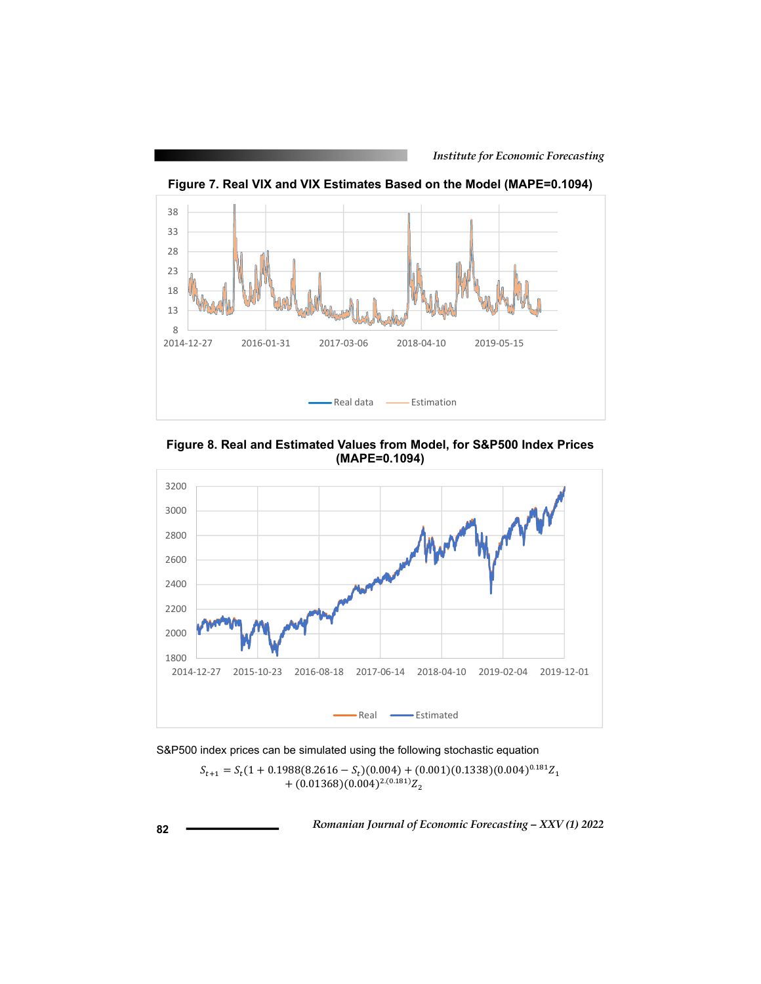

**Figure 7. Real VIX and VIX Estimates Based on the Model (MAPE=0.1094)**

**Figure 8. Real and Estimated Values from Model, for S&P500 Index Prices (MAPE=0.1094)**



S&P500 index prices can be simulated using the following stochastic equation

 $S_{t+1} = S_t (1 + 0.1988(8.2616 - S_t)(0.004) + (0.001)(0.1338)(0.004)^{0.181} Z_1$  $+(0.01368)(0.004)^{2.(0.181)}Z_2$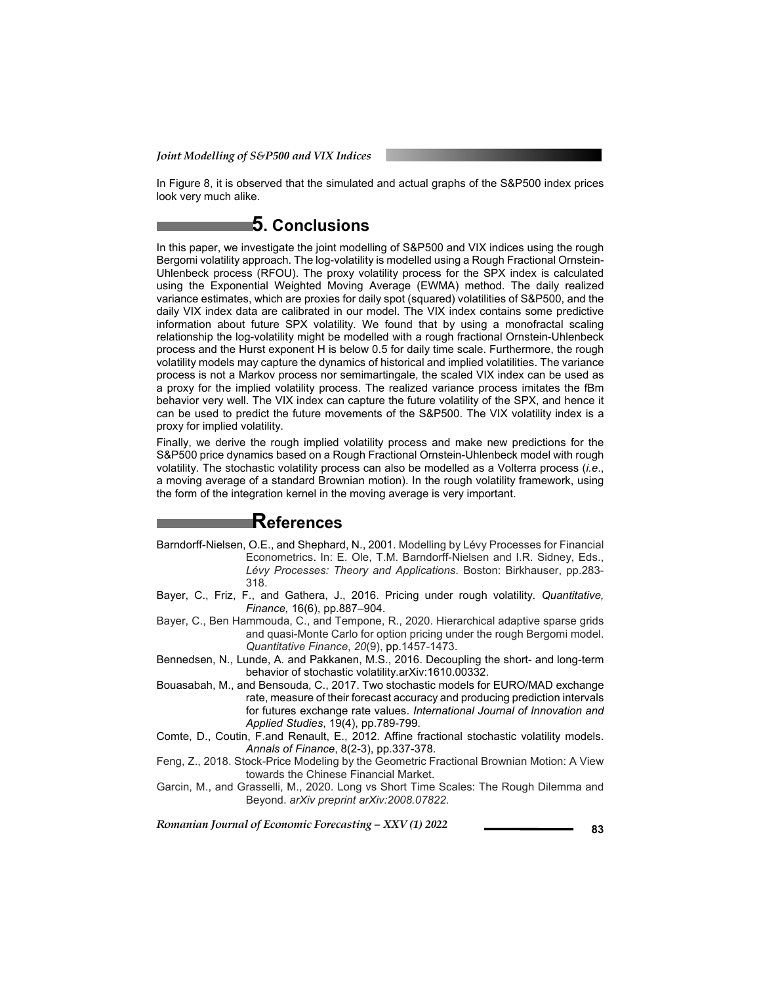In Figure 8, it is observed that the simulated and actual graphs of the S&P500 index prices look very much alike.

### **5. Conclusions**

In this paper, we investigate the joint modelling of S&P500 and VIX indices using the rough Bergomi volatility approach. The log-volatility is modelled using a Rough Fractional Ornstein-Uhlenbeck process (RFOU). The proxy volatility process for the SPX index is calculated using the Exponential Weighted Moving Average (EWMA) method. The daily realized variance estimates, which are proxies for daily spot (squared) volatilities of S&P500, and the daily VIX index data are calibrated in our model. The VIX index contains some predictive information about future SPX volatility. We found that by using a monofractal scaling relationship the log-volatility might be modelled with a rough fractional Ornstein-Uhlenbeck process and the Hurst exponent H is below 0.5 for daily time scale. Furthermore, the rough volatility models may capture the dynamics of historical and implied volatilities. The variance process is not a Markov process nor semimartingale, the scaled VIX index can be used as a proxy for the implied volatility process. The realized variance process imitates the fBm behavior very well. The VIX index can capture the future volatility of the SPX, and hence it can be used to predict the future movements of the S&P500. The VIX volatility index is a proxy for implied volatility.

Finally, we derive the rough implied volatility process and make new predictions for the S&P500 price dynamics based on a Rough Fractional Ornstein-Uhlenbeck model with rough volatility. The stochastic volatility process can also be modelled as a Volterra process (*i.e*., a moving average of a standard Brownian motion). In the rough volatility framework, using the form of the integration kernel in the moving average is very important.

### **References**

- Barndorff-Nielsen, O.E., and Shephard, N., 2001. Modelling by Lévy Processes for Financial Econometrics. In: E. Ole, T.M. Barndorff-Nielsen and I.R. Sidney, Eds., *Lévy Processes: Theory and Applications*. Boston: Birkhauser, pp.283- 318.
- Bayer, C., Friz, F., and Gathera, J., 2016. Pricing under rough volatility. *Quantitative, Finance,* 16(6), pp.887–904.
- Bayer, C., Ben Hammouda, C., and Tempone, R., 2020. Hierarchical adaptive sparse grids and quasi-Monte Carlo for option pricing under the rough Bergomi model. *Quantitative Finance*, *20*(9), pp.1457-1473.
- Bennedsen, N., Lunde, A. and Pakkanen, M.S., 2016. Decoupling the short- and long-term behavior of stochastic volatility.arXiv:1610.00332.
- Bouasabah, M., and Bensouda, C., 2017. Two stochastic models for EURO/MAD exchange rate, measure of their forecast accuracy and producing prediction intervals for futures exchange rate values. *International Journal of Innovation and Applied Studies*, 19(4), pp.789-799.
- Comte, D., Coutin, F.and Renault, E., 2012. Affine fractional stochastic volatility models. *Annals of Finance*, 8(2-3), pp.337-378.
- Feng, Z., 2018. Stock-Price Modeling by the Geometric Fractional Brownian Motion: A View towards the Chinese Financial Market.
- Garcin, M., and Grasselli, M., 2020. Long vs Short Time Scales: The Rough Dilemma and Beyond. *arXiv preprint arXiv:2008.07822*.